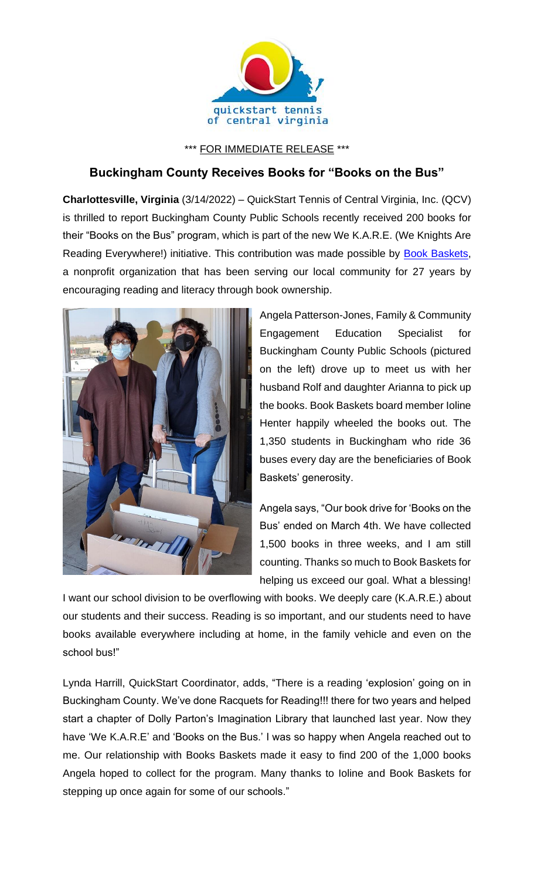

## \*\*\* FOR IMMEDIATE RELEASE \*\*\*

## **Buckingham County Receives Books for "Books on the Bus"**

**Charlottesville, Virginia** (3/14/2022) – QuickStart Tennis of Central Virginia, Inc. (QCV) is thrilled to report Buckingham County Public Schools recently received 200 books for their "Books on the Bus" program, which is part of the new We K.A.R.E. (We Knights Are Reading Everywhere!) initiative. This contribution was made possible by **Book Baskets**, a nonprofit organization that has been serving our local community for 27 years by encouraging reading and literacy through book ownership.



Angela Patterson-Jones, Family & Community Engagement Education Specialist for Buckingham County Public Schools (pictured on the left) drove up to meet us with her husband Rolf and daughter Arianna to pick up the books. Book Baskets board member Ioline Henter happily wheeled the books out. The 1,350 students in Buckingham who ride 36 buses every day are the beneficiaries of Book Baskets' generosity.

Angela says, "Our book drive for 'Books on the Bus' ended on March 4th. We have collected 1,500 books in three weeks, and I am still counting. Thanks so much to Book Baskets for helping us exceed our goal. What a blessing!

I want our school division to be overflowing with books. We deeply care (K.A.R.E.) about our students and their success. Reading is so important, and our students need to have books available everywhere including at home, in the family vehicle and even on the school bus!"

Lynda Harrill, QuickStart Coordinator, adds, "There is a reading 'explosion' going on in Buckingham County. We've done Racquets for Reading!!! there for two years and helped start a chapter of Dolly Parton's Imagination Library that launched last year. Now they have 'We K.A.R.E' and 'Books on the Bus.' I was so happy when Angela reached out to me. Our relationship with Books Baskets made it easy to find 200 of the 1,000 books Angela hoped to collect for the program. Many thanks to Ioline and Book Baskets for stepping up once again for some of our schools."